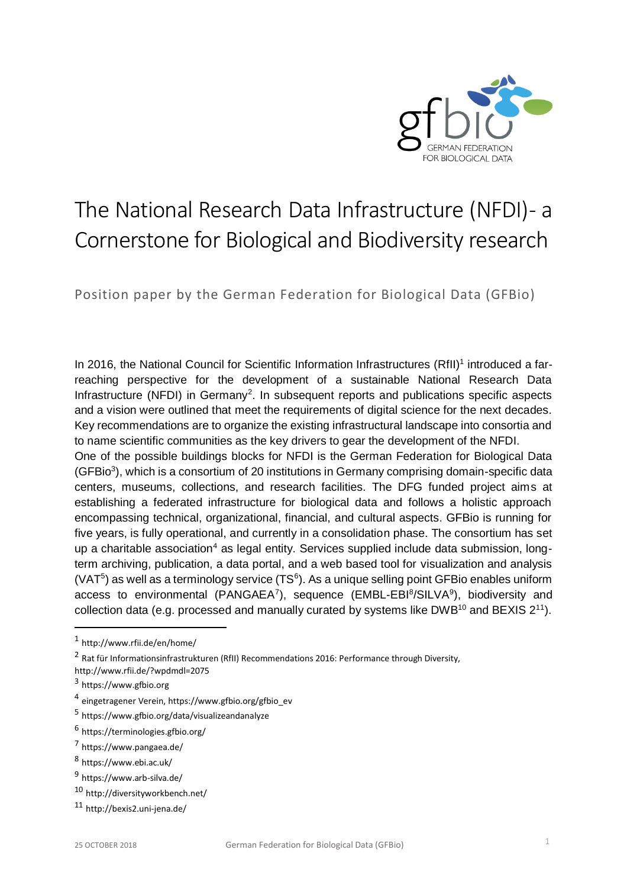

# The National Research Data Infrastructure (NFDI) - a Cornerstone for Biological and Biodiversity research

Position paper by the German Federation for Biological Data (GFBio)

In 2016, the National Council for Scientific Information Infrastructures (RfII)<sup>1</sup> introduced a farreaching perspective for the development of a sustainable National Research Data Infrastructure (NFDI) in Germany<sup>2</sup>. In subsequent reports and publications specific aspects and a vision were outlined that meet the requirements of digital science for the next decades. Key recommendations are to organize the existing infrastructural landscape into consortia and to name scientific communities as the key drivers to gear the development of the NFDI.

One of the possible buildings blocks for NFDI is the German Federation for Biological Data (GFBio<sup>3</sup>), which is a consortium of 20 institutions in Germany comprising domain-specific data centers, museums, collections, and research facilities. The DFG funded project aims at establishing a federated infrastructure for biological data and follows a holistic approach encompassing technical, organizational, financial, and cultural aspects. GFBio is running for five years, is fully operational, and currently in a consolidation phase. The consortium has set up a charitable association<sup>4</sup> as legal entity. Services supplied include data submission, longterm archiving, publication, a data portal, and a web based tool for visualization and analysis  $(VAT<sup>5</sup>)$  as well as a terminology service (TS $<sup>6</sup>$ ). As a unique selling point GFBio enables uniform</sup> access to environmental (PANGAEA<sup>7</sup>), sequence (EMBL-EBI<sup>8</sup>/SILVA<sup>9</sup>), biodiversity and collection data (e.g. processed and manually curated by systems like DWB<sup>10</sup> and BEXIS  $2^{11}$ ).

j

<sup>1</sup> <http://www.rfii.de/en/home/>

<sup>&</sup>lt;sup>2</sup> Rat für Informationsinfrastrukturen (RfII) Recommendations 2016: Performance through Diversity,

<http://www.rfii.de/?wpdmdl=2075>

<sup>&</sup>lt;sup>3</sup> https://www.gfbio.org

<sup>4</sup> eingetragener Verein[, https://www.gfbio.org/gfbio\\_ev](https://www.gfbio.org/gfbio_ev)

<sup>5</sup> <https://www.gfbio.org/data/visualizeandanalyze>

<sup>6</sup> <https://terminologies.gfbio.org/>

<sup>7</sup> <https://www.pangaea.de/>

<sup>8</sup> <https://www.ebi.ac.uk/>

<sup>&</sup>lt;sup>9</sup> <https://www.arb-silva.de/>

<sup>10</sup> <http://diversityworkbench.net/>

<sup>11</sup> <http://bexis2.uni-jena.de/>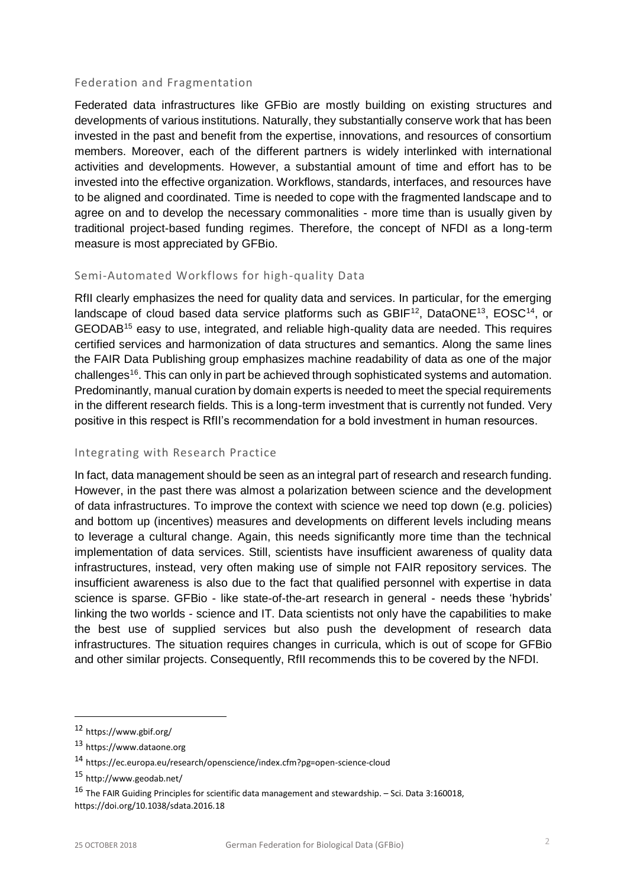## Federation and Fragmentation

Federated data infrastructures like GFBio are mostly building on existing structures and developments of various institutions. Naturally, they substantially conserve work that has been invested in the past and benefit from the expertise, innovations, and resources of consortium members. Moreover, each of the different partners is widely interlinked with international activities and developments. However, a substantial amount of time and effort has to be invested into the effective organization. Workflows, standards, interfaces, and resources have to be aligned and coordinated. Time is needed to cope with the fragmented landscape and to agree on and to develop the necessary commonalities - more time than is usually given by traditional project-based funding regimes. Therefore, the concept of NFDI as a long-term measure is most appreciated by GFBio.

### Semi-Automated Workflows for high-quality Data

RfII clearly emphasizes the need for quality data and services. In particular, for the emerging landscape of cloud based data service platforms such as GBIF<sup>12</sup>, DataONE<sup>13</sup>, EOSC<sup>14</sup>, or GEODAB<sup>15</sup> easy to use, integrated, and reliable high-quality data are needed. This requires certified services and harmonization of data structures and semantics. Along the same lines the FAIR Data Publishing group emphasizes machine readability of data as one of the major challenges<sup>16</sup>. This can only in part be achieved through sophisticated systems and automation. Predominantly, manual curation by domain experts is needed to meet the special requirements in the different research fields. This is a long-term investment that is currently not funded. Very positive in this respect is RfII's recommendation for a bold investment in human resources.

#### Integrating with Research Practice

In fact, data management should be seen as an integral part of research and research funding. However, in the past there was almost a polarization between science and the development of data infrastructures. To improve the context with science we need top down (e.g. policies) and bottom up (incentives) measures and developments on different levels including means to leverage a cultural change. Again, this needs significantly more time than the technical implementation of data services. Still, scientists have insufficient awareness of quality data infrastructures, instead, very often making use of simple not FAIR repository services. The insufficient awareness is also due to the fact that qualified personnel with expertise in data science is sparse. GFBio - like state-of-the-art research in general - needs these 'hybrids' linking the two worlds - science and IT. Data scientists not only have the capabilities to make the best use of supplied services but also push the development of research data infrastructures. The situation requires changes in curricula, which is out of scope for GFBio and other similar projects. Consequently, RfII recommends this to be covered by the NFDI.

l

<sup>12</sup> <https://www.gbif.org/>

<sup>13</sup> [https://www.dataone.org](https://www.dataone.org/)

<sup>14</sup> <https://ec.europa.eu/research/openscience/index.cfm?pg=open-science-cloud>

<sup>15</sup> <http://www.geodab.net/>

<sup>16</sup> The FAIR Guiding Principles for scientific data management and stewardship. – Sci. Data 3:160018, <https://doi.org/10.1038/sdata.2016.18>